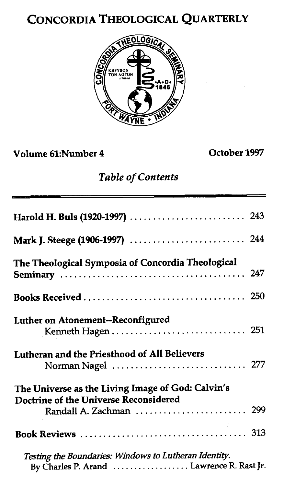# CONCORDIA THEOLOGICAL QUARTERLY



Volume 61:Number 4

October 1997

### *Table of Contents*

| The Theological Symposia of Concordia Theological                                                                     |  |
|-----------------------------------------------------------------------------------------------------------------------|--|
|                                                                                                                       |  |
| Luther on Atonement--Reconfigured<br>Kenneth Hagen  251                                                               |  |
| Lutheran and the Priesthood of All Believers                                                                          |  |
| The Universe as the Living Image of God: Calvin's<br>Doctrine of the Universe Reconsidered<br>Randall A. Zachman  299 |  |
|                                                                                                                       |  |
| Testing the Boundaries: Windows to Lutheran Identity.<br>By Charles P. Arand  Lawrence R. Rast Jr.                    |  |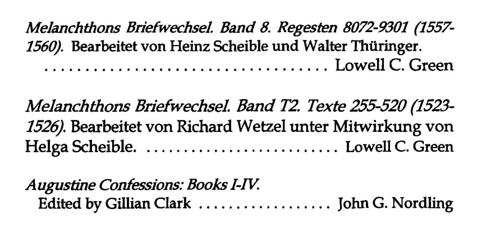*Melanchthons Briefwechseel. Band* **8.** *Regesten* **8072-9302 (2557- 2560). Bearbeitet von Heinz Scheible und Walter Thiiringer.**  ................................... **Lowell C. Green** 

*MeIanchthons Briefwechseel. Band* **T2.** *Texte* **255520 (1523- 1526). Bearbeitet von Richard Wetzel unter Mitwirkung von Helga Scheible.** .......................... **Lowell C. Green** 

*A ugusthe Confessions: Books I-N:*  **Edited by Gillian Clark** .................. **John G. Nordling**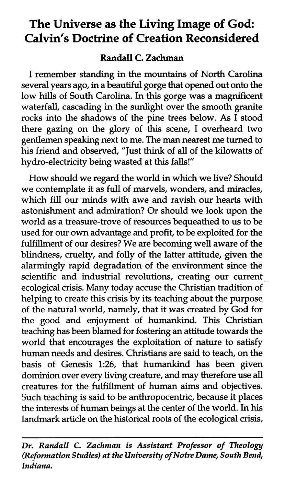## **The Universe as the Living Image of God: Calvin's Doctrine of Creation Reconsidered**

#### **Randall C. Zachman**

I remember standing in the mountains of North Carolina several years ago, in a beautiful gorge that opened out onto the low hills of South Carolina. In this gorge was a magnificent waterfall, cascading in the sunlight over the smooth granite rocks into the shadows of the pine trees below. As I stood there gazing on the glory of this scene, I overheard two gentlemen speaking next to me. The **man** nearest me turned to his friend and observed, "Just **think** of all of the kilowatts of hydro-electricity being wasted at this falls!"

How should we regard the world in which we live? Should we contemplate it as full of marvels, wonders, and miracles, which fill our minds with awe and ravish our hearts with astonishment and admiration? Or should we look upon the world as a treasure-trove of resources bequeathed to us to be used for our own advantage and profit, to be exploited for the fulfillment of our desires? We are becoming well aware of the blindness, cruelty, and folly of the latter attitude, given the alarmingly rapid degradation of the environment since the scientific and industrial revolutions, creating our current ecological crisis. Many today accuse the Christian tradition of helping to create this crisis by its teaching about the purpose of the natural world, namely, that it was created by God for the good and enjoyment of humankind. This Christian teaching has been blamed for fostering an attitude towards the world that encourages the exploitation of nature to satisfy human needs and desires. Christians are said to teach, on the basis of Genesis **1:26,** that humankind has been given dominion over every living creature, and may therefore use **all**  creatures for the fulfillment of human aims and objectives. Such teaching is said to be anthropocentric, because it places the interests of human beings at the center of the world. In his landmark article on the historical roots of the ecological crisis,

*Dr. Randall C. Zachman is Assistant Professor of Theology (Reformation Studies) at the University of Notre Dame, South Bend, Indiana.*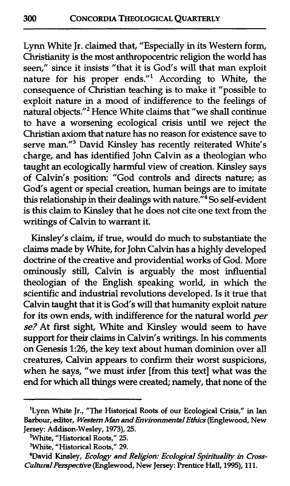Lynn White Jr. claimed that, "Especially in its Western form, Christianity is the most anthropocentric religion the world has seen," since it insists "that it is God's will that man exploit nature for his proper ends."' According to White, the consequence of Christian teaching is to make it "possible to exploit nature in a mood of indifference to the feelings of natural objects."<sup>2</sup> Hence White claims that "we shall continue to have a worsening ecological crisis until we reject the Christian axiom that nature has no reason for existence save to serve man."3 David Kinsley has recently reiterated White's charge, and has identified John Calvin as a theologian who taught an ecologically harmful view of creation. Kinsley says of Calvin's position: "God controls and directs nature; as God's agent or special creation, human beings are to imitate this relationship in their dealings with nature."<sup>4</sup> So self-evident is this claim to Kinsley that he does not cite one text from the writings of Calvin to warrant it.

Kinsley's claim, if true, would do much to substantiate the claims made by White, for John Calvin has a highly developed doctrine of the creative and providential works of God. More ominously still, Calvin is arguably the most influential theologian of the English speaking world, in which the scientific and industrial revolutions developed. Is it true that Calvin taught that it is God's will that humanity exploit nature for its own ends, with indifference for the natural world per **se?** At first sight, White and Kinsley would seem to have support for their claims in Calvin's writings. In his comments on Genesis **1:26,** the key text about human dominion over all creatures, Calvin appears to confirm their worst suspicions, when he says, "we must infer [from this text] what was the end for which **all** things were created; namely, that none of the

**<sup>&#</sup>x27;Lynn White Jr., "The Historical Roots of our Ecological Crisis," in Ian Barbour, editor,** *Wesfem Man* **and** *Environmental Ethics* **(Englewood, New Jersey: Addison-Wesley, 1973), 25.** 

**<sup>&#</sup>x27;White, "Historical Roots," 25.** 

**<sup>3</sup>White, "Historical Roots," 29.** 

**<sup>4</sup>David Kinsley,** *Ecology and Relipon: Ecological Spirituality* **in** *Cross-CulturaIPerpective* **(Englewood, New Jersey: Prentice Hall, 1995), 111.**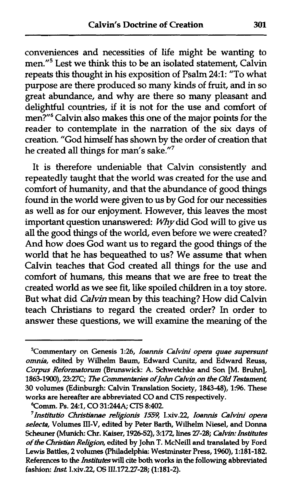conveniences and necessities of life might be wanting to men."5 Lest we **think** this to be an isolated statement, Calvin repeats this thought in his exposition of Psalm **24:l:** "To what purpose are there produced so many kinds of fruit, and in so great abundance, and why are there so many pleasant and delightful countries, if it is not for the use and comfort of men?"<sup>6</sup> Calvin also makes this one of the major points for the reader to contemplate in the narration of the six days of creation. "God himself has shown by the order of creation that he created all things for man's sake."7

It is therefore undeniable that Calvin consistently and repeatedly taught that the world was created for the use and comfort of humanity, and that the abundance of good things found in the world were given to us by God for our necessities as well as for our enjoyment. However, **this** leaves the most important question unanswered:  $Why$  did God will to give us **all** the good things of the world, even before we were created? And how does God want us to regard the good things of the world that he has bequeathed to us? We assume that when Calvin teaches that God created all things for the use and comfort of humans, this means that we are free to treat the created world as we see fit, like spoiled children in a toy store. But what did *Cdvin* mean by this teaching? How did Calvin teach Christians to regard the created order? In order to answer these questions, we will examine the meaning of the

**<sup>&#</sup>x27;Commentary on Genesis 1:26,** *Ioannis Cafvini opera quae supersunt omnia,* **edited by Wilhelm Baum, Edward** Cunitz, **and Edward Reuss,**  *Copzs Reformatorum* **(Brunswick:** *A.* **Schwetchke and Son [M. Bruhn],**  1863-1900), 23:27C; The Commentaries of John Calvin on the Old Testament, *30* **volumes (Edinburgh: Calvin Translation Society, 1843-a), 1:96. These works are hereafter are abbreviated CO and CTS respectively.** 

**<sup>6</sup>Comm. Ps. 241, CO 31:244A; CIS 8:402.** 

*<sup>&#</sup>x27;Institutio Clvistianae mIigorus* **1559, I.xiv.22, ZOBNIIS** *CBIvini opera seIecta,* **Volumes 111-V, edited by Peter Barth, Wilhelrn Niesel, and Donna**   $S$ cheuner (Munich: Chr. Kaiser, 1926-52), 3:172, lines 27-28; *Calvin: Institutes of the Chhtihn Religin,* **edited by John T. McNeill and translated by Ford Lewis Battles, 2 volumes (Philadelphia, Westminster Press, 1960), 1:181-182. References to the** *htituies* **will cite both works in the following abbreviated fashion:** *ht* **I.xiv.22, OS 111.172.27-28; (1:181-2).**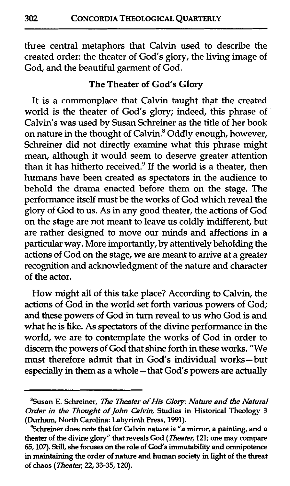three central metaphors that Calvin used to describe the created order: the theater of God's glory, the living image of God, and the beautiful garment of God.

#### **The Theater of God's Glory**

It is a commonplace that Calvin taught that the created world is the theater of God's glory; indeed, this phrase of Calvin's was used by Susan Schreiner as the title of her book on nature in the thought of Calvin.<sup>8</sup> Oddly enough, however, Schreiner did not directly examine what this phrase might mean, although it would seem to deserve greater attention than it has hitherto received. $9$  If the world is a theater, then humans have been created as spectators in the audience to behold the drama enacted before them on the stage. The performance itself must be the works of God which reveal the glory of God to us. As in any good theater, the actions of God on the stage are not meant to leave us coldly indifferent, but are rather designed to move our minds and affections in a particular way. More importantly, by attentively beholding the actions of God on the stage, we are meant to arrive at a greater recognition and acknowledgment of the nature and character of the actor.

How might all of this take place? According to Calvin, the actions of God in the world set forth various powers of God; and these powers of God in turn reveal to us who God is and what he is like. As spectators of the divine performance in the world, we are to contemplate the works of God in order to discern the powers of God that shine forth in these works. "We must therefore admit that in God's individual works-but especially in them as a whole - that God's powers are actually

**<sup>&#</sup>x27;Susan E. Schreiner,** *The neater of* **His** *GJoq: Nature and the Natural Order* **in** *the Thought of* **John** *Calvin,* **Studies in Historical Theology** 3 **(Durham, North Carolina: Labyrinth Press,** 1991).

**Shreiner does note that for Calvin nature is "a mirror, a painting, and a theater of the divine glory" that reveals God** *(Zheaier,* 121; **one** *may* **compare**  65,107). **Still, she focuses on the role of God's immutability and omnipotence in maintaining the order of nature and human society in light of the threat of chaos** *(neater,* 22,33-35,120).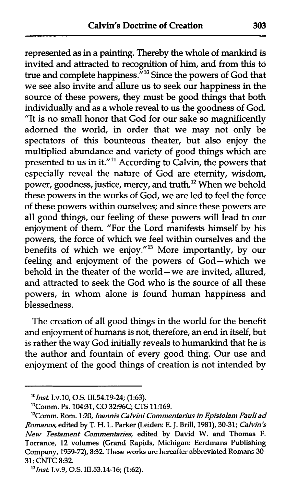represented as in a painting. Thereby the whole of mankind is invited and attracted to recognition of him, and from this to true and complete happiness."<sup>10</sup> Since the powers of God that we see also invite and allure us to seek our happiness in the source of these powers, they must be good things that both individually and as a whole reveal to us the goodness of God. "It is no small honor that God for our sake so magnificently adorned the world, in order that we may not only be spectators of this bounteous theater, but also enjoy the multiplied abundance and variety of good things which are presented to us in it."<sup>11</sup> According to Calvin, the powers that especially reveal the nature of God are eternity, wisdom, power, goodness, justice, mercy, and truth.<sup>12</sup> When we behold these powers in the works of God, we are led to feel the force of these powers within ourselves; and since these powers are all good things, our feeling of these powers will lead to our enjoyment of them. "For the Lord manifests himself by his powers, the force of which we feel within ourselves and the benefits of which we enjoy."13 More importantly, by our feeling and enjoyment of the powers of God-which we behold in the theater of the world – we are invited, allured, and attracted to seek the God who is the source of all these powers, in whom alone is found human happiness and blessedness.

The creation of all good things in the world for the benefit and enjoyment of humans is not, therefore, an end in itself, but is rather the way God initially reveals to humankind that he is the author and fountain of every good thing. Our use and enjoyment of the good things of creation is not intended by

*<sup>&</sup>quot;1ns.t* **I.v.10, O.S. 111.54.19-24; (1:63).** 

**<sup>&</sup>quot;Comm. Ps. 10431, CO 3296C; CTS 11:169.** 

*<sup>&#</sup>x27;2Comm.* **Rom. 1:20,** *Ioam's Calvini Commentarius* **in** *Epistolam Pauliad Romanos,* **edited by** *T.* **H. L. Parker (Leiden: E. J. Brill, 1981), 30-31;** *Calvin's New Testament Commentaries,* **edited by David W. and Thomas F. Torrance, 12 volumes (Grand Rapids, Michigan: Eerdmans Publishing Company, 1959-72), 8:32. These works are hereafter abbreviated Romans 30- 31; CNTC 8:32.** 

*I3Ins.t* **I.v.9,** *O.S.* **111.53.1416; (1:62).**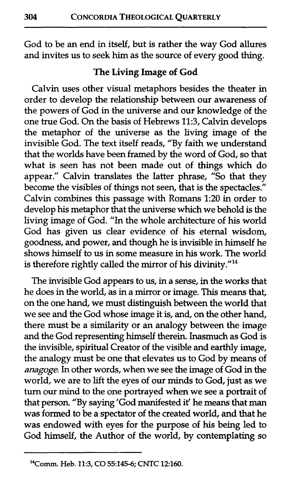God to be an end in itself, but is rather the way God allures and invites us to seek him as the source of every good thing.

#### **The Living Image of God**

Calvin uses other visual metaphors besides the theater in order to develop the relationship between our awareness of the powers of God in the universe and our knowledge of the one true God. On the basis of Hebrews 11:3, Calvin develops the metaphor of the universe as the living image of the invisible God. The text itself reads, "By faith we understand that the worlds have been framed by the word of God, so that what is seen has not been made out of things which do appear." Calvin translates the latter phrase, "So that they become the visibles of things not seen, that is the spectacles." Calvin combines this passage with Romans 1:20 in order to develop his metaphor that the universe which we behold is the living image of God. "In the whole architecture of his world God has given us clear evidence of his eternal wisdom, goodness, and power, and though he is invisible in himself he shows himself to us in some measure in his work. The world is therefore rightly called the mirror of his divinity."<sup>14</sup>

The invisible God appears to us, in a sense, in the works that he does in the world, as in a mirror or image. **This** means that, on the one hand, we must distinguish between the world that we see and the God whose image it is, and, on the other hand, there must be a similarity or an analogy between the image and the God representing himself therein. Inasmuch as God is the invisible, spiritual Creator of the visible and earthly image, the analogy must be one that elevates us to God by means of anagoge. In other words, when we see the image of God in the world, we are to lift the eyes of our minds to God, just as we turn our mind to the one portrayed when we see a portrait of that person. "By saying 'God manifested it' he means that **man**  was formed to be a spectator of the created world, and that he was endowed with eyes for the purpose of his being led to God himself, the Author of the world, by contemplating so

<sup>14</sup>Comm. **Heb.** 11:3, CO 55:145-6; **CNTC 12160.**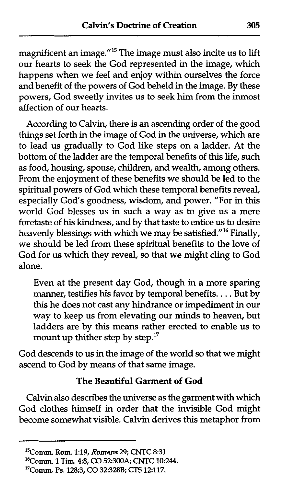magnificent an image. $^{\prime\prime}$ <sup>15</sup> The image must also incite us to lift our hearts to seek the God represented in the image, which happens when we feel and enjoy within ourselves the force and benefit of the powers of God beheld in the image. By these powers, God sweetly invites us to seek him from the inmost affection of our hearts.

According to Calvin, there is an ascending order of the good things set forth in the image of God in the universe, which are to lead us gradually to God like steps on a ladder. At the bottom of the ladder are the temporal benefits of this life, such as food, housing, spouse, children, and wealth, among others. From the enjoyment of these benefits we should be led to the spiritual powers of God which these temporal benefits reveal, especially God's goodness, wisdom, and power. "For in this world God blesses us in such a way as to give us a mere foretaste of his kindness, and by that taste to entice us to desire heavenly blessings with which we may be satisfied."<sup>16</sup> Finally, we should be led from these spiritual benefits to the love of God for us which they reveal, so that we might cling to God alone.

Even at the present day God, though in a more sparing manner, testifies his favor by temporal benefits. . . . But by this he does not cast any hindrance or impediment in our way to keep us from elevating our minds to heaven, but ladders are by this means rather erected to enable us to mount up thither step by step."

God descends to us in the image of the world so that we might ascend to God by means of that same image.

#### The Beautiful Garment **of** God

Calvin also describes the universe as the garment with which God clothes himself in order that the invisible God might become somewhat visible. Calvin derives this metaphor from

**<sup>15</sup>Comm. Rom. 1:19, Romans 29; CNTC 8:31** 

**<sup>16</sup>Comm.** 1 **Tim. 48, CO 52300A; CNTC 10:244.** 

**<sup>&#</sup>x27;7C0mm. Ps.** 128:3, **CO 323288; CTS** 12117.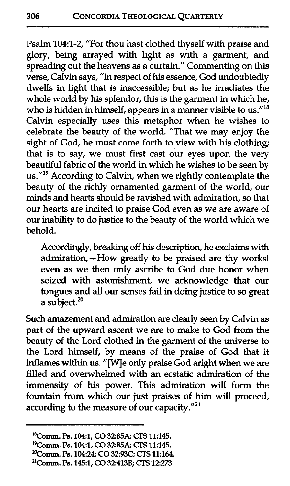Psalm 104:l-2, "For thou hast clothed thyself with praise and glory, being arrayed with light as with a garment, and spreading out the heavens as a curtain." Commenting on this verse, Calvin says, "in respect of his essence, God undoubtedly dwells in light that is inaccessible; but as he irradiates the whole world by his splendor, this is the garment in which he, who is hidden in himself, appears in a manner visible to us."<sup>18</sup> Calvin especially uses this metaphor when he wishes to celebrate the beauty of the world. "That we may enjoy the sight of God, he must come forth to view with his clothing; that is to say, we must first cast our eyes upon the very beautiful fabric of the world in which he wishes to be seen by us."<sup>19</sup> According to Calvin, when we rightly contemplate the beauty of the richly ornamented garment of the world, our minds and hearts should be ravished with admiration, so that our hearts are incited to praise God even as we are aware of our inability to do justice to the beauty of the world which we behold.

Accordingly, breaking off his description, he exclaims with admiration, - How greatly to be praised are thy works! even as we then only ascribe to God due honor when seized with astonishment, we acknowledge that our tongues and **all** our senses fail in doing justice to so great a subject.<sup>20</sup>

Such amazement and admiration are clearly seen by Calvin as part of the upward ascent we are to make to God from the beauty of the Lord clothed in the garment of the universe to the Lord himself, by means of the praise of God that it inflames within us. "[Wle only praise God aright when we are filled and overwhelmed with an ecstatic admiration of the immensity of his power. This admiration will form the fountain from which our just praises of him will proceed, according to the measure of our capacity." $^{21}$ 

**<sup>&</sup>quot;Comm. Ps. 1M1, CO 32:85A; CTS 11:145.** 

**l9Comm. Ps. 1M1, CO 328544;** CIS **11:145.** 

**Tomm. Ps. 1M24; CO 3293C; CTS 11:164.** 

**<sup>&</sup>quot;Comm. Ps. 145:1, CO 324138; CTS 12273.**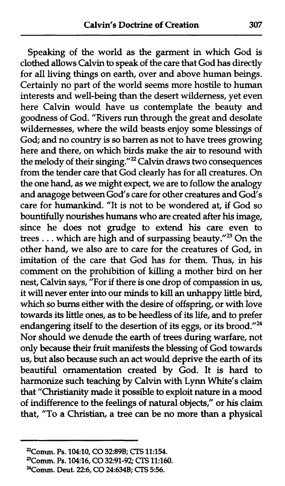Speaking of the world as the garment in which God is clothed allows Calvin to speak of the care that God has directly for all living things on earth, over and above human beings. Certainly no part of the world seems more hostile to human interests and well-being than the desert wilderness, yet even here Calvin would have us contemplate the beauty and goodness of God. "Rivers run through the great and desolate wildernesses, where the wild beasts enjoy some blessings of God; and no country is so barren as not to have trees growing here and there, on which birds make the air to resound with the melody of their singing."<sup>22</sup> Calvin draws two consequences from the tender care that God clearly has for all creatures. On the one hand, as we might expect, we are to follow the analogy and anagoge between God's care for other creatures and God's care for humankind. "It is not to be wondered at, if God so bountifully nourishes humans who are created after his image, since he does not grudge to extend his care even to trees . . . which are high and of surpassing beauty." $^{23}$  On the other hand, we also are to care for the creatures of God, in imitation of the care that God has for them. Thus, in his comment on the prohibition of killing a mother bird on her nest, Calvin says, "For if there is one drop of compassion in us, it will never enter into our minds to **kill** an unhappy little bird, which so burns either with the desire of offspring, or with love towards its little ones, as to be heedIess of its life, and to prefer endangering itself to the desertion of its eggs, or its brood."<sup>24</sup> Nor should we denude the earth of trees during warfare, not only because their fruit manifests the blessing of God towards us, but also because such an act would deprive the earth of its beautiful ornamentation created by God. It is hard to harmonize such teaching by Calvin with Lynn White's claim that **"Christianity** made it possible to exploit nature in a mood of indifference to the feelings of natural objects," or his claim that, "To a Christian, a tree can be no more than a physical

**yomm. Ps. 10410, CO 3289B;** CTS **11:154.** 

**UComm. Ps. 104:16, CO 3291-92; CTS 11:160.** 

**yomm. Deut.** 226, **CO 24634B; CTS** 5:56.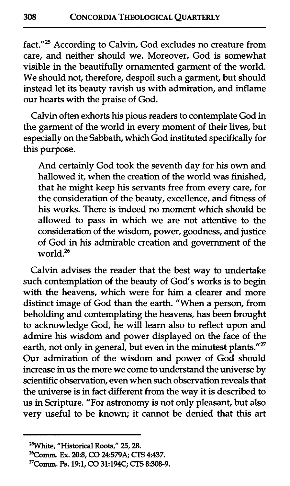fact."25 According to Calvin, God excludes no creature from care, and neither should we. Moreover, God is somewhat visible in the beautifully ornamented garment of the world. We should not, therefore, despoil such a garment, but should instead let its beauty ravish us with admiration, and inflame our hearts with the praise of God.

Calvin often exhorts his pious readers to contemplate God in the garment of the world in every moment of their lives, but especially on the Sabbath, which God instituted specifically for this purpose.

And certainly God took the seventh day for his own and hallowed it, when the creation of the world was finished, that he might keep his servants free from every care, for the consideration of the beauty, excellence, and fitness of his works. There is indeed no moment which should be allowed to pass in which we are not attentive to the consideration of the wisdom, power, goodness, and justice of God in his admirable creation and government of the world.<sup>26</sup>

Calvin advises the reader that the best way to undertake such contemplation of the beauty of God's works is to begin with the heavens, which were for **him** a clearer and more distinct image of God than the earth. "When a person, from beholding and contemplating the heavens, has been brought to acknowledge God, he will learn also to reflect upon and admire his wisdom and power displayed on the face of the earth, not only in general, but even in the minutest plants."<sup>27</sup> Our admiration of the wisdom and power of God should increase in us the more we come to understand the universe by scientific observation, even when such observation reveals that the universe is in fact different from the way it is described to us in Scripture. "For astronomy is not only pleasant, but also very useful to be known; it cannot be denied that this art

**<sup>&#</sup>x27;'White, "Historical Roots," 25,28.** 

**<sup>26</sup>Comm. Ex. 20:8, CO 24:579A; CTS 4:437.** 

**<sup>27</sup>Comm. Ps. 191, CO 31:194C; CTS 8:30&9.**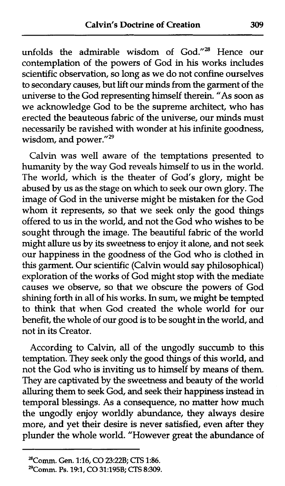unfolds the admirable wisdom of God."28 Hence our contemplation of the powers of God in his works includes scientific observation, so long as we do not confine ourselves to secondary causes, but **lift** our minds from the garment of the universe to the God representing himself therein. "As soon as we acknowledge God to be the supreme architect, who has erected the beauteous fabric of the universe, our minds must necessarily be ravished with wonder at his infinite goodness, wisdom, and power."<sup>29</sup>

Calvin was well aware of the temptations presented to humanity by the way God reveals himself to us in the world. The world, which is the theater of God's glory, might be abused by us as the stage on which to seek our own glory. The image of God in the universe might be mistaken for the God whom it represents, so that we seek only the good things offered to us in the world, and not the God who wishes to be sought through the image. The beautiful fabric of the world might allure us by its sweetness to enjoy it alone, and not seek our happiness in the goodness of the God who is clothed in this garment. Our scientific (Calvin would say philosophical) exploration of the works of God might stop with the mediate causes we observe, so that we obscure the powers of God shining forth in all of his works. In sum, we might be tempted to think that when God created the whole world for our benefit, the whole of our good is to be sought in the world, and not in its Creator.

According to Calvin, all of the ungodly succumb to this temptation. They seek only the good things of this world, and not the God who is inviting us to himself by means of them. They are captivated by the sweetness and beauty of the world alluring them to seek God, and seek their happiness instead in temporal blessings. As a consequence, no matter how much the ungodly enjoy worldly abundance, they always desire more, and yet their desire **is** never satisfied, even after they plunder the whole world. "However great the abundance of

**<sup>&#</sup>x27;'Comm. Gen.** 1:16, **CO 23:22B;** CTS 1236.

**<sup>29</sup>Comm. Ps. 193, CO 31:195B;** CTS **8:309.**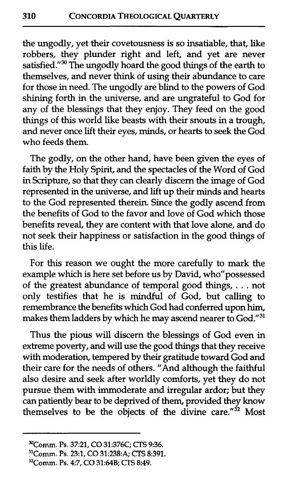the ungodly, yet their covetousness is so insatiable, that, like robbers, they plunder right and left, and yet are never satisfied."<sup>30</sup> The ungodly hoard the good things of the earth to themselves, and never think of using their abundance to care for those in need. The ungodly are blind to the powers of God shining forth in the universe, and are ungrateful to God for any of the blessings that they enjoy. They feed on the good things of this world like beasts with their snouts in a trough, and never once lift their eyes, minds, or hearts to seek the God who feeds them.

The godly, on the other hand, have been given the eyes of faith by the Holy Spirit, and the spectacles of the Word of God in Scripture, so that they can clearly discern the image of God represented in the universe, and lift up their minds and hearts to the God represented therein. Since the godly ascend from the benefits of God to the favor and love of God which those benefits reveal, they are content with that love alone, and do not seek their happiness or satisfaction in the good things of this life.

For this reason we ought the more carefully to mark the example which is here set before us by David, who"possessed of the greatest abundance of temporal good things, . . . not only testifies that he is mindful of God, but calling to remembrance the benefits which God had conferred upon him, makes them ladders by which he may ascend nearer to God."31

Thus the pious will discern the blessings of God even in extreme poverty, and will use the good things that they receive with moderation, tempered by their gratitude toward God and their care for the needs of others. "And although the faithful also desire and seek after worldly comforts, yet they do not pursue them with immoderate and irregular ardor; **but** they can patiently bear to be deprived of them, provided they know themselves to be the objects of the divine care."<sup>32</sup> Most

**<sup>30</sup>Comm. Ps. 37:21,** CO **31:376C; CTS 936.** 

**<sup>31</sup>Comm. Ps. 23:1, CO 31:238:A; CTS 8:391.** 

**<sup>32</sup>Comm. Ps.** 47, CO **31:64B; CTS 8:49.**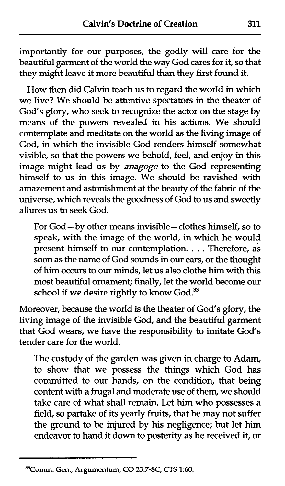importantly for our purposes, the godly will care for the beautiful garment of the world the way God cares for it, so that they might leave it more beautiful than they first found it.

How then did **Calvin** teach us to regard the world in which we live? We should be attentive spectators in the theater of God's glory, who seek to recognize the actor on the stage by means of the powers revealed in his actions. We should contemplate and meditate on the world as the living image of God, in which the invisible God renders himself somewhat visible, so that the powers we behold, feel, and enjoy in this image might lead us by **anagoge** to the God representing himself to us in this image. We should be ravished with amazement and astonishment at the beauty of the fabric of the universe, which reveals the goodness of God to us and sweetly allures us to seek God.

For God-by other means invisible-clothes himself, so to speak, with the image of the world, in which he would present himself to our contemplation. . . . Therefore, as soon as the name of God sounds in our ears, or the thought of him occurs to our minds, let us also clothe him with this most beautiful ornament; finally, let the world become our school if we desire rightly to know God.<sup>33</sup>

Moreover, because the world is the theater of God's glory, the living image of the invisible God, and the beautiful garment that God wears, we have the responsibility to imitate God's tender care for the world.

The custody of the garden was given in charge to Adam, to show that we possess the things which God has committed to our hands, on the condition, that being content with a frugal and moderate use of them, we should take care of what shall remain. Let him who possesses a field, so partake of its yearly fruits, that he may not suffer the ground to be injured by his negligence; but let him endeavor to hand it down to posterity as he received it, or

**<sup>33</sup>Comm. Gen., Argumentum, CO 2337-8C; CTS 1:60.**